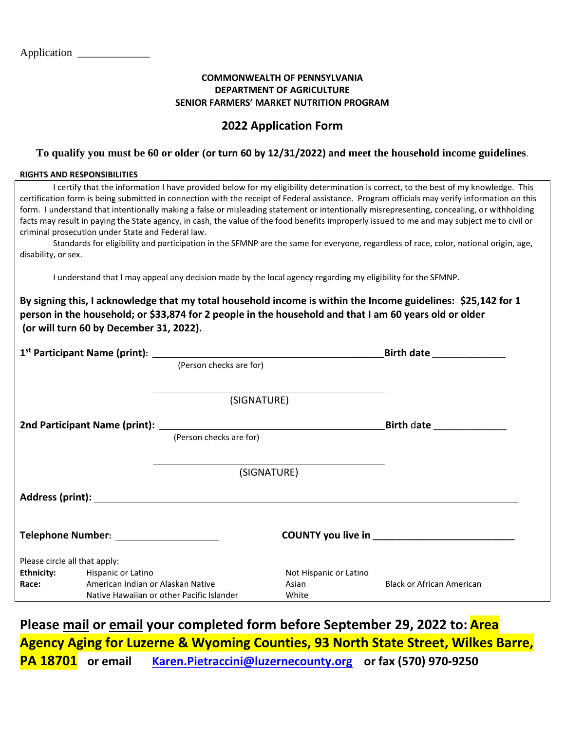#### **COMMONWEALTH OF PENNSYLVANIA DEPARTMENT OF AGRICULTURE SENIOR FARMERS' MARKET NUTRITION PROGRAM**

## **2022 Application Form**

#### **To qualify you must be 60 or older (or turn 60 by 12/31/2022) and meet the household income guidelines**.

#### **RIGHTS AND RESPONSIBILITIES**

| I certify that the information I have provided below for my eligibility determination is correct, to the best of my knowledge. This<br>certification form is being submitted in connection with the receipt of Federal assistance. Program officials may verify information on this<br>form. I understand that intentionally making a false or misleading statement or intentionally misrepresenting, concealing, or withholding<br>facts may result in paying the State agency, in cash, the value of the food benefits improperly issued to me and may subject me to civil or<br>criminal prosecution under State and Federal law.<br>Standards for eligibility and participation in the SFMNP are the same for everyone, regardless of race, color, national origin, age,<br>disability, or sex. |                                                                                |             |                                                                                                        |                                                                                                               |
|-----------------------------------------------------------------------------------------------------------------------------------------------------------------------------------------------------------------------------------------------------------------------------------------------------------------------------------------------------------------------------------------------------------------------------------------------------------------------------------------------------------------------------------------------------------------------------------------------------------------------------------------------------------------------------------------------------------------------------------------------------------------------------------------------------|--------------------------------------------------------------------------------|-------------|--------------------------------------------------------------------------------------------------------|---------------------------------------------------------------------------------------------------------------|
| I understand that I may appeal any decision made by the local agency regarding my eligibility for the SFMNP.                                                                                                                                                                                                                                                                                                                                                                                                                                                                                                                                                                                                                                                                                        |                                                                                |             |                                                                                                        |                                                                                                               |
|                                                                                                                                                                                                                                                                                                                                                                                                                                                                                                                                                                                                                                                                                                                                                                                                     | (or will turn 60 by December 31, 2022).                                        |             | person in the household; or \$33,874 for 2 people in the household and that I am 60 years old or older | By signing this, I acknowledge that my total household income is within the Income guidelines: \$25,142 for 1 |
|                                                                                                                                                                                                                                                                                                                                                                                                                                                                                                                                                                                                                                                                                                                                                                                                     |                                                                                |             |                                                                                                        |                                                                                                               |
|                                                                                                                                                                                                                                                                                                                                                                                                                                                                                                                                                                                                                                                                                                                                                                                                     |                                                                                |             |                                                                                                        |                                                                                                               |
|                                                                                                                                                                                                                                                                                                                                                                                                                                                                                                                                                                                                                                                                                                                                                                                                     |                                                                                | (SIGNATURE) |                                                                                                        |                                                                                                               |
|                                                                                                                                                                                                                                                                                                                                                                                                                                                                                                                                                                                                                                                                                                                                                                                                     |                                                                                |             | 2nd Participant Name (print): <u>[Person checks are for</u> ]                                          | <b>Birth date Example 1</b>                                                                                   |
|                                                                                                                                                                                                                                                                                                                                                                                                                                                                                                                                                                                                                                                                                                                                                                                                     |                                                                                |             |                                                                                                        |                                                                                                               |
|                                                                                                                                                                                                                                                                                                                                                                                                                                                                                                                                                                                                                                                                                                                                                                                                     |                                                                                | (SIGNATURE) |                                                                                                        |                                                                                                               |
|                                                                                                                                                                                                                                                                                                                                                                                                                                                                                                                                                                                                                                                                                                                                                                                                     |                                                                                |             |                                                                                                        |                                                                                                               |
| Telephone Number: ___________                                                                                                                                                                                                                                                                                                                                                                                                                                                                                                                                                                                                                                                                                                                                                                       |                                                                                |             |                                                                                                        | COUNTY you live in ______________                                                                             |
| Please circle all that apply:                                                                                                                                                                                                                                                                                                                                                                                                                                                                                                                                                                                                                                                                                                                                                                       |                                                                                |             |                                                                                                        |                                                                                                               |
| <b>Ethnicity:</b><br>Hispanic or Latino                                                                                                                                                                                                                                                                                                                                                                                                                                                                                                                                                                                                                                                                                                                                                             |                                                                                |             | Not Hispanic or Latino                                                                                 |                                                                                                               |
| Race:                                                                                                                                                                                                                                                                                                                                                                                                                                                                                                                                                                                                                                                                                                                                                                                               | American Indian or Alaskan Native<br>Native Hawaiian or other Pacific Islander |             | Asian<br>White                                                                                         | <b>Black or African American</b>                                                                              |

**Please mail or email your completed form before September 29, 2022 to: Area Agency Aging for Luzerne & Wyoming Counties, 93 North State Street, Wilkes Barre, PA 18701 or email [Karen.Pietraccini@luzernecounty.org](mailto:Karen.Pietraccini@luzernecounty.org) or fax (570) 970-9250**